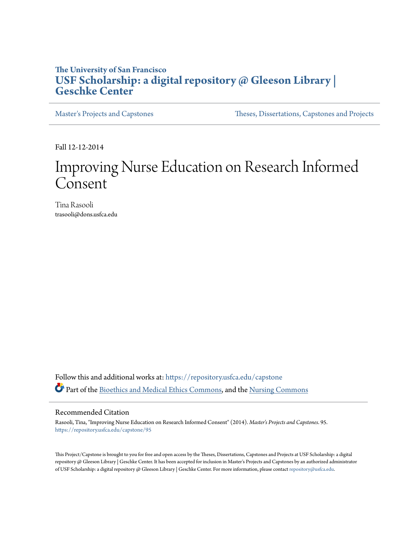# **The University of San Francisco [USF Scholarship: a digital repository @ Gleeson Library |](https://repository.usfca.edu?utm_source=repository.usfca.edu%2Fcapstone%2F95&utm_medium=PDF&utm_campaign=PDFCoverPages) [Geschke Center](https://repository.usfca.edu?utm_source=repository.usfca.edu%2Fcapstone%2F95&utm_medium=PDF&utm_campaign=PDFCoverPages)**

[Master's Projects and Capstones](https://repository.usfca.edu/capstone?utm_source=repository.usfca.edu%2Fcapstone%2F95&utm_medium=PDF&utm_campaign=PDFCoverPages) [Theses, Dissertations, Capstones and Projects](https://repository.usfca.edu/etd?utm_source=repository.usfca.edu%2Fcapstone%2F95&utm_medium=PDF&utm_campaign=PDFCoverPages)

Fall 12-12-2014

# Improving Nurse Education on Research Informed Consent

Tina Rasooli trasooli@dons.usfca.edu

Follow this and additional works at: [https://repository.usfca.edu/capstone](https://repository.usfca.edu/capstone?utm_source=repository.usfca.edu%2Fcapstone%2F95&utm_medium=PDF&utm_campaign=PDFCoverPages) Part of the [Bioethics and Medical Ethics Commons,](http://network.bepress.com/hgg/discipline/650?utm_source=repository.usfca.edu%2Fcapstone%2F95&utm_medium=PDF&utm_campaign=PDFCoverPages) and the [Nursing Commons](http://network.bepress.com/hgg/discipline/718?utm_source=repository.usfca.edu%2Fcapstone%2F95&utm_medium=PDF&utm_campaign=PDFCoverPages)

#### Recommended Citation

Rasooli, Tina, "Improving Nurse Education on Research Informed Consent" (2014). *Master's Projects and Capstones*. 95. [https://repository.usfca.edu/capstone/95](https://repository.usfca.edu/capstone/95?utm_source=repository.usfca.edu%2Fcapstone%2F95&utm_medium=PDF&utm_campaign=PDFCoverPages)

This Project/Capstone is brought to you for free and open access by the Theses, Dissertations, Capstones and Projects at USF Scholarship: a digital repository @ Gleeson Library | Geschke Center. It has been accepted for inclusion in Master's Projects and Capstones by an authorized administrator of USF Scholarship: a digital repository @ Gleeson Library | Geschke Center. For more information, please contact [repository@usfca.edu](mailto:repository@usfca.edu).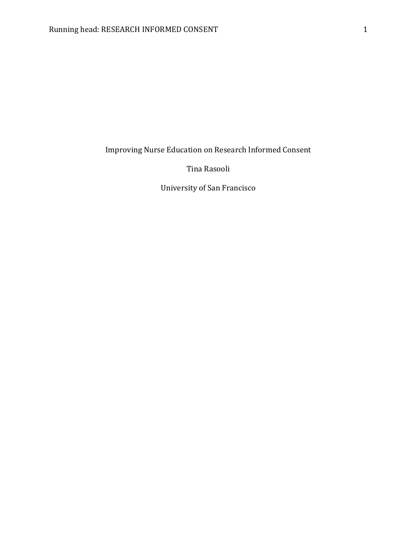Improving Nurse Education on Research Informed Consent

Tina Rasooli

University of San Francisco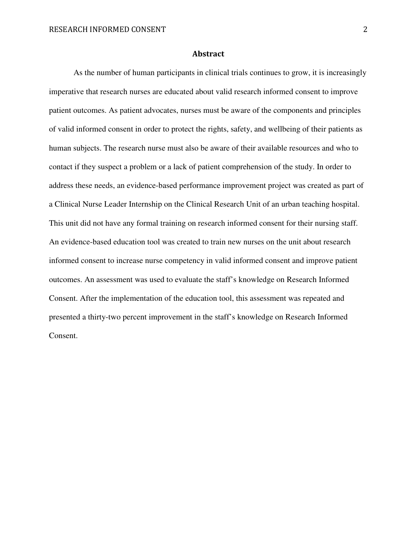#### Abstract

As the number of human participants in clinical trials continues to grow, it is increasingly imperative that research nurses are educated about valid research informed consent to improve patient outcomes. As patient advocates, nurses must be aware of the components and principles of valid informed consent in order to protect the rights, safety, and wellbeing of their patients as human subjects. The research nurse must also be aware of their available resources and who to contact if they suspect a problem or a lack of patient comprehension of the study. In order to address these needs, an evidence-based performance improvement project was created as part of a Clinical Nurse Leader Internship on the Clinical Research Unit of an urban teaching hospital. This unit did not have any formal training on research informed consent for their nursing staff. An evidence-based education tool was created to train new nurses on the unit about research informed consent to increase nurse competency in valid informed consent and improve patient outcomes. An assessment was used to evaluate the staff's knowledge on Research Informed Consent. After the implementation of the education tool, this assessment was repeated and presented a thirty-two percent improvement in the staff's knowledge on Research Informed Consent.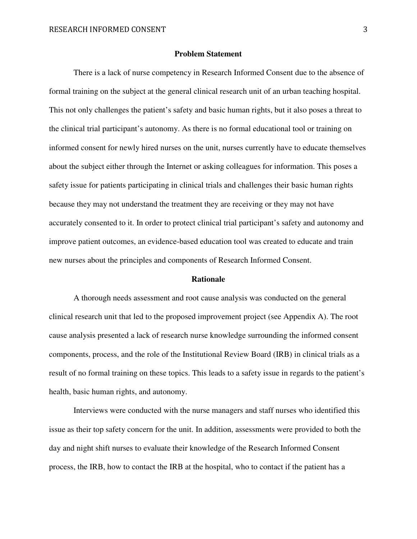#### **Problem Statement**

There is a lack of nurse competency in Research Informed Consent due to the absence of formal training on the subject at the general clinical research unit of an urban teaching hospital. This not only challenges the patient's safety and basic human rights, but it also poses a threat to the clinical trial participant's autonomy. As there is no formal educational tool or training on informed consent for newly hired nurses on the unit, nurses currently have to educate themselves about the subject either through the Internet or asking colleagues for information. This poses a safety issue for patients participating in clinical trials and challenges their basic human rights because they may not understand the treatment they are receiving or they may not have accurately consented to it. In order to protect clinical trial participant's safety and autonomy and improve patient outcomes, an evidence-based education tool was created to educate and train new nurses about the principles and components of Research Informed Consent.

#### **Rationale**

A thorough needs assessment and root cause analysis was conducted on the general clinical research unit that led to the proposed improvement project (see Appendix A). The root cause analysis presented a lack of research nurse knowledge surrounding the informed consent components, process, and the role of the Institutional Review Board (IRB) in clinical trials as a result of no formal training on these topics. This leads to a safety issue in regards to the patient's health, basic human rights, and autonomy.

Interviews were conducted with the nurse managers and staff nurses who identified this issue as their top safety concern for the unit. In addition, assessments were provided to both the day and night shift nurses to evaluate their knowledge of the Research Informed Consent process, the IRB, how to contact the IRB at the hospital, who to contact if the patient has a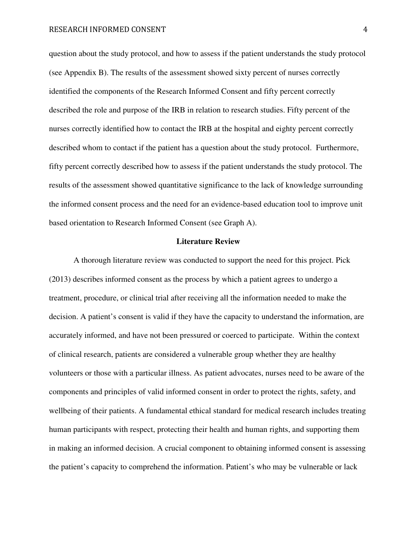question about the study protocol, and how to assess if the patient understands the study protocol (see Appendix B). The results of the assessment showed sixty percent of nurses correctly identified the components of the Research Informed Consent and fifty percent correctly described the role and purpose of the IRB in relation to research studies. Fifty percent of the nurses correctly identified how to contact the IRB at the hospital and eighty percent correctly described whom to contact if the patient has a question about the study protocol. Furthermore, fifty percent correctly described how to assess if the patient understands the study protocol. The results of the assessment showed quantitative significance to the lack of knowledge surrounding the informed consent process and the need for an evidence-based education tool to improve unit based orientation to Research Informed Consent (see Graph A).

#### **Literature Review**

A thorough literature review was conducted to support the need for this project. Pick (2013) describes informed consent as the process by which a patient agrees to undergo a treatment, procedure, or clinical trial after receiving all the information needed to make the decision. A patient's consent is valid if they have the capacity to understand the information, are accurately informed, and have not been pressured or coerced to participate. Within the context of clinical research, patients are considered a vulnerable group whether they are healthy volunteers or those with a particular illness. As patient advocates, nurses need to be aware of the components and principles of valid informed consent in order to protect the rights, safety, and wellbeing of their patients. A fundamental ethical standard for medical research includes treating human participants with respect, protecting their health and human rights, and supporting them in making an informed decision. A crucial component to obtaining informed consent is assessing the patient's capacity to comprehend the information. Patient's who may be vulnerable or lack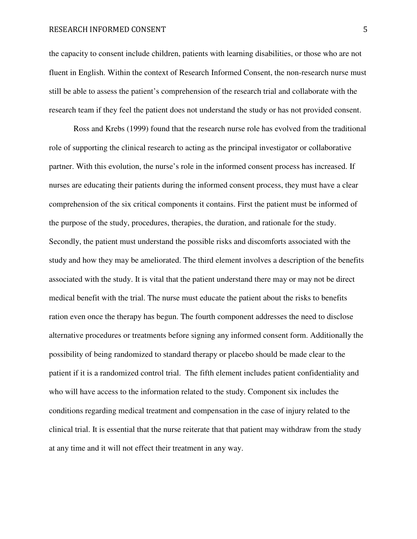#### RESEARCH INFORMED CONSENT 5

the capacity to consent include children, patients with learning disabilities, or those who are not fluent in English. Within the context of Research Informed Consent, the non-research nurse must still be able to assess the patient's comprehension of the research trial and collaborate with the research team if they feel the patient does not understand the study or has not provided consent.

 Ross and Krebs (1999) found that the research nurse role has evolved from the traditional role of supporting the clinical research to acting as the principal investigator or collaborative partner. With this evolution, the nurse's role in the informed consent process has increased. If nurses are educating their patients during the informed consent process, they must have a clear comprehension of the six critical components it contains. First the patient must be informed of the purpose of the study, procedures, therapies, the duration, and rationale for the study. Secondly, the patient must understand the possible risks and discomforts associated with the study and how they may be ameliorated. The third element involves a description of the benefits associated with the study. It is vital that the patient understand there may or may not be direct medical benefit with the trial. The nurse must educate the patient about the risks to benefits ration even once the therapy has begun. The fourth component addresses the need to disclose alternative procedures or treatments before signing any informed consent form. Additionally the possibility of being randomized to standard therapy or placebo should be made clear to the patient if it is a randomized control trial. The fifth element includes patient confidentiality and who will have access to the information related to the study. Component six includes the conditions regarding medical treatment and compensation in the case of injury related to the clinical trial. It is essential that the nurse reiterate that that patient may withdraw from the study at any time and it will not effect their treatment in any way.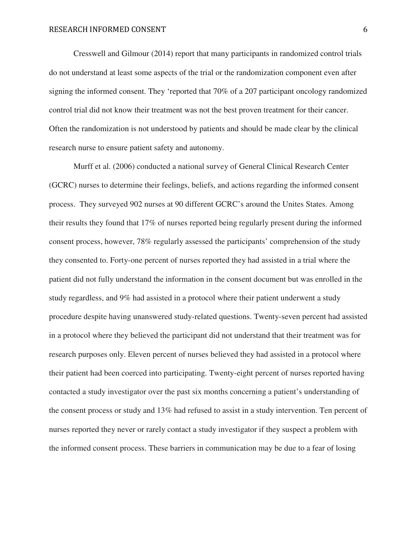Cresswell and Gilmour (2014) report that many participants in randomized control trials do not understand at least some aspects of the trial or the randomization component even after signing the informed consent. They 'reported that 70% of a 207 participant oncology randomized control trial did not know their treatment was not the best proven treatment for their cancer. Often the randomization is not understood by patients and should be made clear by the clinical research nurse to ensure patient safety and autonomy.

Murff et al. (2006) conducted a national survey of General Clinical Research Center (GCRC) nurses to determine their feelings, beliefs, and actions regarding the informed consent process. They surveyed 902 nurses at 90 different GCRC's around the Unites States. Among their results they found that 17% of nurses reported being regularly present during the informed consent process, however, 78% regularly assessed the participants' comprehension of the study they consented to. Forty-one percent of nurses reported they had assisted in a trial where the patient did not fully understand the information in the consent document but was enrolled in the study regardless, and 9% had assisted in a protocol where their patient underwent a study procedure despite having unanswered study-related questions. Twenty-seven percent had assisted in a protocol where they believed the participant did not understand that their treatment was for research purposes only. Eleven percent of nurses believed they had assisted in a protocol where their patient had been coerced into participating. Twenty-eight percent of nurses reported having contacted a study investigator over the past six months concerning a patient's understanding of the consent process or study and 13% had refused to assist in a study intervention. Ten percent of nurses reported they never or rarely contact a study investigator if they suspect a problem with the informed consent process. These barriers in communication may be due to a fear of losing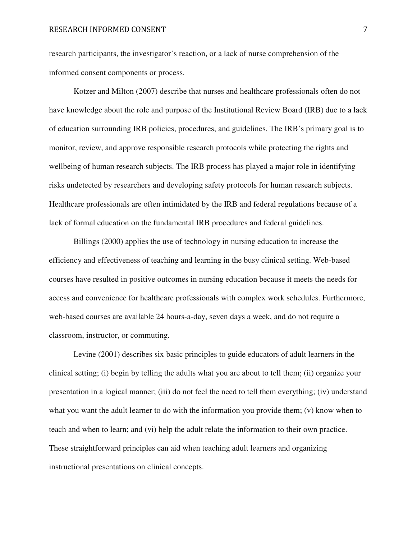research participants, the investigator's reaction, or a lack of nurse comprehension of the informed consent components or process.

Kotzer and Milton (2007) describe that nurses and healthcare professionals often do not have knowledge about the role and purpose of the Institutional Review Board (IRB) due to a lack of education surrounding IRB policies, procedures, and guidelines. The IRB's primary goal is to monitor, review, and approve responsible research protocols while protecting the rights and wellbeing of human research subjects. The IRB process has played a major role in identifying risks undetected by researchers and developing safety protocols for human research subjects. Healthcare professionals are often intimidated by the IRB and federal regulations because of a lack of formal education on the fundamental IRB procedures and federal guidelines.

Billings (2000) applies the use of technology in nursing education to increase the efficiency and effectiveness of teaching and learning in the busy clinical setting. Web-based courses have resulted in positive outcomes in nursing education because it meets the needs for access and convenience for healthcare professionals with complex work schedules. Furthermore, web-based courses are available 24 hours-a-day, seven days a week, and do not require a classroom, instructor, or commuting.

Levine (2001) describes six basic principles to guide educators of adult learners in the clinical setting; (i) begin by telling the adults what you are about to tell them; (ii) organize your presentation in a logical manner; (iii) do not feel the need to tell them everything; (iv) understand what you want the adult learner to do with the information you provide them; (v) know when to teach and when to learn; and (vi) help the adult relate the information to their own practice. These straightforward principles can aid when teaching adult learners and organizing instructional presentations on clinical concepts.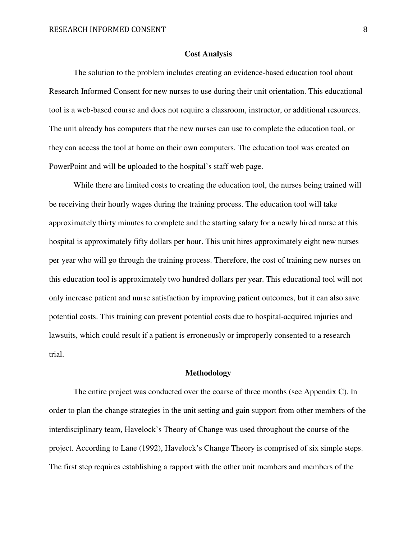#### **Cost Analysis**

The solution to the problem includes creating an evidence-based education tool about Research Informed Consent for new nurses to use during their unit orientation. This educational tool is a web-based course and does not require a classroom, instructor, or additional resources. The unit already has computers that the new nurses can use to complete the education tool, or they can access the tool at home on their own computers. The education tool was created on PowerPoint and will be uploaded to the hospital's staff web page.

While there are limited costs to creating the education tool, the nurses being trained will be receiving their hourly wages during the training process. The education tool will take approximately thirty minutes to complete and the starting salary for a newly hired nurse at this hospital is approximately fifty dollars per hour. This unit hires approximately eight new nurses per year who will go through the training process. Therefore, the cost of training new nurses on this education tool is approximately two hundred dollars per year. This educational tool will not only increase patient and nurse satisfaction by improving patient outcomes, but it can also save potential costs. This training can prevent potential costs due to hospital-acquired injuries and lawsuits, which could result if a patient is erroneously or improperly consented to a research trial.

## **Methodology**

The entire project was conducted over the coarse of three months (see Appendix C). In order to plan the change strategies in the unit setting and gain support from other members of the interdisciplinary team, Havelock's Theory of Change was used throughout the course of the project. According to Lane (1992), Havelock's Change Theory is comprised of six simple steps. The first step requires establishing a rapport with the other unit members and members of the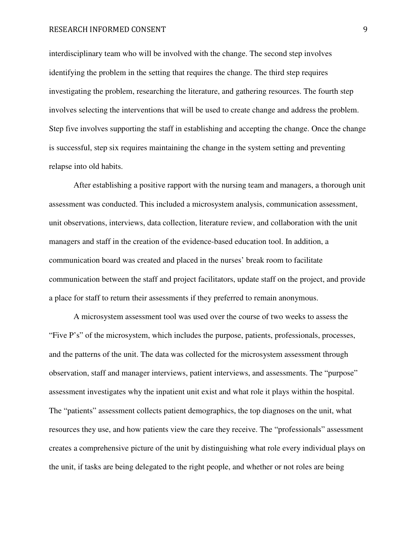#### RESEARCH INFORMED CONSENT SERVICES AND SERVICES AND SUMMISSION OF STREET AND STREET AND STREET AND STREET AND STREET AND STREET AND STREET AND STREET AND STREET AND STREET AND STREET AND STREET AND STREET AND STREET AND ST

interdisciplinary team who will be involved with the change. The second step involves identifying the problem in the setting that requires the change. The third step requires investigating the problem, researching the literature, and gathering resources. The fourth step involves selecting the interventions that will be used to create change and address the problem. Step five involves supporting the staff in establishing and accepting the change. Once the change is successful, step six requires maintaining the change in the system setting and preventing relapse into old habits.

After establishing a positive rapport with the nursing team and managers, a thorough unit assessment was conducted. This included a microsystem analysis, communication assessment, unit observations, interviews, data collection, literature review, and collaboration with the unit managers and staff in the creation of the evidence-based education tool. In addition, a communication board was created and placed in the nurses' break room to facilitate communication between the staff and project facilitators, update staff on the project, and provide a place for staff to return their assessments if they preferred to remain anonymous.

A microsystem assessment tool was used over the course of two weeks to assess the "Five P's" of the microsystem, which includes the purpose, patients, professionals, processes, and the patterns of the unit. The data was collected for the microsystem assessment through observation, staff and manager interviews, patient interviews, and assessments. The "purpose" assessment investigates why the inpatient unit exist and what role it plays within the hospital. The "patients" assessment collects patient demographics, the top diagnoses on the unit, what resources they use, and how patients view the care they receive. The "professionals" assessment creates a comprehensive picture of the unit by distinguishing what role every individual plays on the unit, if tasks are being delegated to the right people, and whether or not roles are being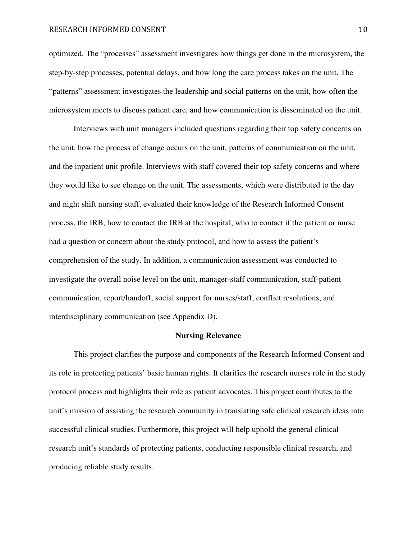#### RESEARCH INFORMED CONSENT 10

optimized. The "processes" assessment investigates how things get done in the microsystem, the step-by-step processes, potential delays, and how long the care process takes on the unit. The "patterns" assessment investigates the leadership and social patterns on the unit, how often the microsystem meets to discuss patient care, and how communication is disseminated on the unit.

Interviews with unit managers included questions regarding their top safety concerns on the unit, how the process of change occurs on the unit, patterns of communication on the unit, and the inpatient unit profile. Interviews with staff covered their top safety concerns and where they would like to see change on the unit. The assessments, which were distributed to the day and night shift nursing staff, evaluated their knowledge of the Research Informed Consent process, the IRB, how to contact the IRB at the hospital, who to contact if the patient or nurse had a question or concern about the study protocol, and how to assess the patient's comprehension of the study. In addition, a communication assessment was conducted to investigate the overall noise level on the unit, manager-staff communication, staff-patient communication, report/handoff, social support for nurses/staff, conflict resolutions, and interdisciplinary communication (see Appendix D).

#### **Nursing Relevance**

This project clarifies the purpose and components of the Research Informed Consent and its role in protecting patients' basic human rights. It clarifies the research nurses role in the study protocol process and highlights their role as patient advocates. This project contributes to the unit's mission of assisting the research community in translating safe clinical research ideas into successful clinical studies. Furthermore, this project will help uphold the general clinical research unit's standards of protecting patients, conducting responsible clinical research, and producing reliable study results.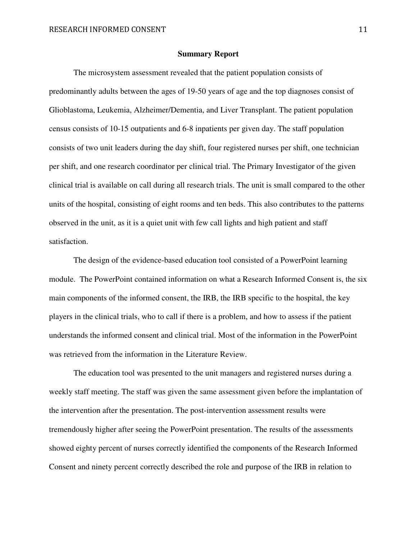#### **Summary Report**

The microsystem assessment revealed that the patient population consists of predominantly adults between the ages of 19-50 years of age and the top diagnoses consist of Glioblastoma, Leukemia, Alzheimer/Dementia, and Liver Transplant. The patient population census consists of 10-15 outpatients and 6-8 inpatients per given day. The staff population consists of two unit leaders during the day shift, four registered nurses per shift, one technician per shift, and one research coordinator per clinical trial. The Primary Investigator of the given clinical trial is available on call during all research trials. The unit is small compared to the other units of the hospital, consisting of eight rooms and ten beds. This also contributes to the patterns observed in the unit, as it is a quiet unit with few call lights and high patient and staff satisfaction.

 The design of the evidence-based education tool consisted of a PowerPoint learning module. The PowerPoint contained information on what a Research Informed Consent is, the six main components of the informed consent, the IRB, the IRB specific to the hospital, the key players in the clinical trials, who to call if there is a problem, and how to assess if the patient understands the informed consent and clinical trial. Most of the information in the PowerPoint was retrieved from the information in the Literature Review.

 The education tool was presented to the unit managers and registered nurses during a weekly staff meeting. The staff was given the same assessment given before the implantation of the intervention after the presentation. The post-intervention assessment results were tremendously higher after seeing the PowerPoint presentation. The results of the assessments showed eighty percent of nurses correctly identified the components of the Research Informed Consent and ninety percent correctly described the role and purpose of the IRB in relation to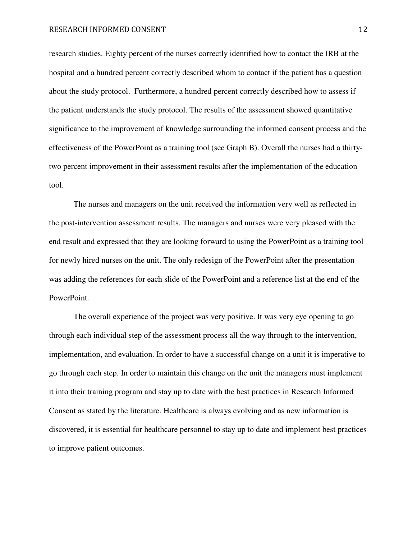research studies. Eighty percent of the nurses correctly identified how to contact the IRB at the hospital and a hundred percent correctly described whom to contact if the patient has a question about the study protocol. Furthermore, a hundred percent correctly described how to assess if the patient understands the study protocol. The results of the assessment showed quantitative significance to the improvement of knowledge surrounding the informed consent process and the effectiveness of the PowerPoint as a training tool (see Graph B). Overall the nurses had a thirtytwo percent improvement in their assessment results after the implementation of the education tool.

 The nurses and managers on the unit received the information very well as reflected in the post-intervention assessment results. The managers and nurses were very pleased with the end result and expressed that they are looking forward to using the PowerPoint as a training tool for newly hired nurses on the unit. The only redesign of the PowerPoint after the presentation was adding the references for each slide of the PowerPoint and a reference list at the end of the PowerPoint.

 The overall experience of the project was very positive. It was very eye opening to go through each individual step of the assessment process all the way through to the intervention, implementation, and evaluation. In order to have a successful change on a unit it is imperative to go through each step. In order to maintain this change on the unit the managers must implement it into their training program and stay up to date with the best practices in Research Informed Consent as stated by the literature. Healthcare is always evolving and as new information is discovered, it is essential for healthcare personnel to stay up to date and implement best practices to improve patient outcomes.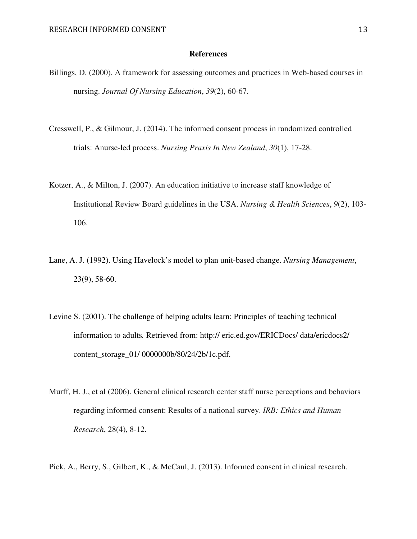## **References**

- Billings, D. (2000). A framework for assessing outcomes and practices in Web-based courses in nursing. *Journal Of Nursing Education*, *39*(2), 60-67.
- Cresswell, P., & Gilmour, J. (2014). The informed consent process in randomized controlled trials: Anurse-led process. *Nursing Praxis In New Zealand*, *30*(1), 17-28.
- Kotzer, A., & Milton, J. (2007). An education initiative to increase staff knowledge of Institutional Review Board guidelines in the USA. *Nursing & Health Sciences*, *9*(2), 103- 106.
- Lane, A. J. (1992). Using Havelock's model to plan unit-based change. *Nursing Management*, 23(9), 58-60.
- Levine S. (2001). The challenge of helping adults learn: Principles of teaching technical information to adults*.* Retrieved from: http:// eric.ed.gov/ERICDocs/ data/ericdocs2/ content\_storage\_01/ 0000000b/80/24/2b/1c.pdf.
- Murff, H. J., et al (2006). General clinical research center staff nurse perceptions and behaviors regarding informed consent: Results of a national survey. *IRB: Ethics and Human Research*, 28(4), 8-12.
- Pick, A., Berry, S., Gilbert, K., & McCaul, J. (2013). Informed consent in clinical research.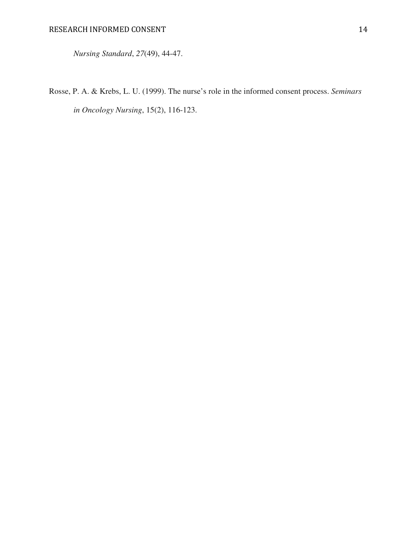*Nursing Standard*, *27*(49), 44-47.

Rosse, P. A. & Krebs, L. U. (1999). The nurse's role in the informed consent process. *Seminars in Oncology Nursing*, 15(2), 116-123.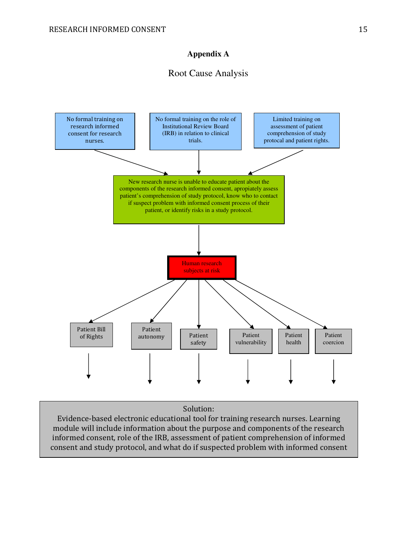## **Appendix A**

## Root Cause Analysis



## Solution:

Evidence-based electronic educational tool for training research nurses. Learning module will include information about the purpose and components of the research informed consent, role of the IRB, assessment of patient comprehension of informed consent and study protocol, and what do if suspected problem with informed consent

process.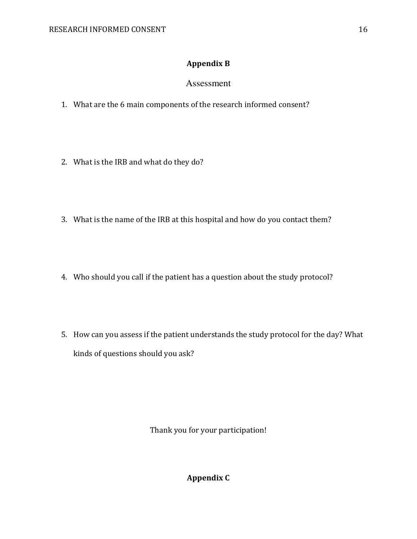# Appendix B

## Assessment

- 1. What are the 6 main components of the research informed consent?
- 2. What is the IRB and what do they do?
- 3. What is the name of the IRB at this hospital and how do you contact them?
- 4. Who should you call if the patient has a question about the study protocol?
- 5. How can you assess if the patient understands the study protocol for the day? What kinds of questions should you ask?

Thank you for your participation!

Appendix C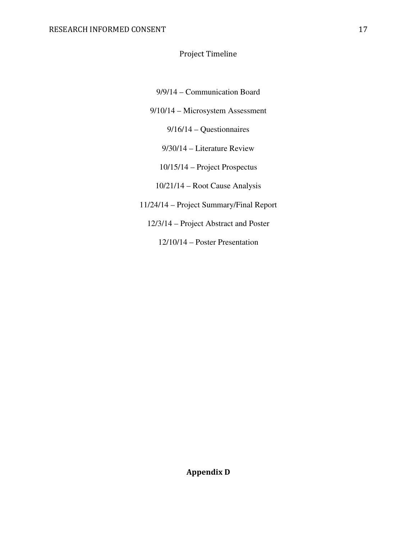## Project Timeline

- 9/9/14 Communication Board
- 9/10/14 Microsystem Assessment

9/16/14 – Questionnaires

- 9/30/14 Literature Review
- 10/15/14 Project Prospectus
- 10/21/14 Root Cause Analysis
- 11/24/14 Project Summary/Final Report
	- 12/3/14 Project Abstract and Poster

12/10/14 – Poster Presentation

Appendix D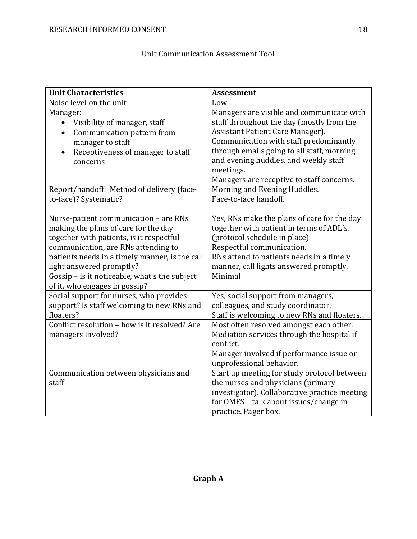# Unit Communication Assessment Tool

| <b>Unit Characteristics</b>                                               | <b>Assessment</b>                                                                  |
|---------------------------------------------------------------------------|------------------------------------------------------------------------------------|
| Noise level on the unit                                                   | Low                                                                                |
| Manager:                                                                  | Managers are visible and communicate with                                          |
| Visibility of manager, staff<br>$\bullet$                                 | staff throughout the day (mostly from the                                          |
| Communication pattern from<br>$\bullet$                                   | Assistant Patient Care Manager).                                                   |
| manager to staff                                                          | Communication with staff predominantly                                             |
| Receptiveness of manager to staff<br>$\bullet$                            | through emails going to all staff, morning                                         |
| concerns                                                                  | and evening huddles, and weekly staff                                              |
|                                                                           | meetings.                                                                          |
|                                                                           | Managers are receptive to staff concerns.                                          |
| Report/handoff: Method of delivery (face-                                 | Morning and Evening Huddles.                                                       |
| to-face)? Systematic?                                                     | Face-to-face handoff.                                                              |
|                                                                           |                                                                                    |
| Nurse-patient communication - are RNs                                     | Yes, RNs make the plans of care for the day                                        |
| making the plans of care for the day                                      | together with patient in terms of ADL's.                                           |
| together with patients, is it respectful                                  | (protocol schedule in place)                                                       |
| communication, are RNs attending to                                       | Respectful communication.                                                          |
| patients needs in a timely manner, is the call                            | RNs attend to patients needs in a timely<br>manner, call lights answered promptly. |
| light answered promptly?<br>Gossip - is it noticeable, what s the subject | Minimal                                                                            |
| of it, who engages in gossip?                                             |                                                                                    |
| Social support for nurses, who provides                                   | Yes, social support from managers,                                                 |
| support? Is staff welcoming to new RNs and                                | colleagues, and study coordinator.                                                 |
| floaters?                                                                 | Staff is welcoming to new RNs and floaters.                                        |
| Conflict resolution - how is it resolved? Are                             | Most often resolved amongst each other.                                            |
| managers involved?                                                        | Mediation services through the hospital if                                         |
|                                                                           | conflict.                                                                          |
|                                                                           | Manager involved if performance issue or                                           |
|                                                                           | unprofessional behavior.                                                           |
| Communication between physicians and                                      | Start up meeting for study protocol between                                        |
| staff                                                                     | the nurses and physicians (primary                                                 |
|                                                                           | investigator). Collaborative practice meeting                                      |
|                                                                           | for OMFS - talk about issues/change in                                             |
|                                                                           | practice. Pager box.                                                               |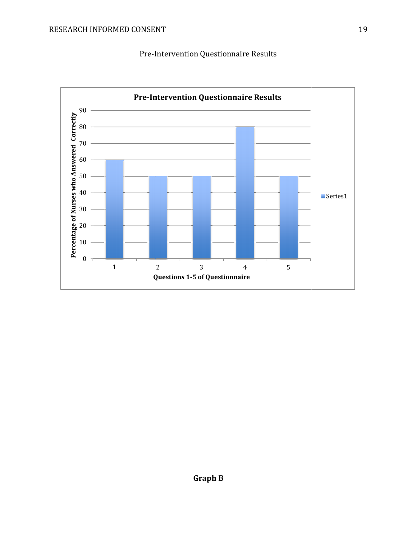Pre-Intervention Questionnaire Results Intervention